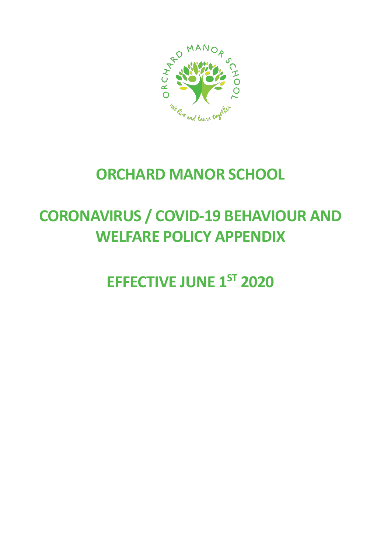

## **ORCHARD MANOR SCHOOL**

## **CORONAVIRUS / COVID-19 BEHAVIOUR AND WELFARE POLICY APPENDIX**

**EFFECTIVE JUNE 1ST 2020**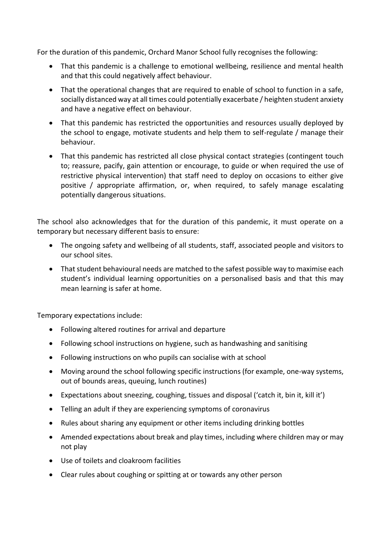For the duration of this pandemic, Orchard Manor School fully recognises the following:

- That this pandemic is a challenge to emotional wellbeing, resilience and mental health and that this could negatively affect behaviour.
- That the operational changes that are required to enable of school to function in a safe, socially distanced way at all times could potentially exacerbate / heighten student anxiety and have a negative effect on behaviour.
- That this pandemic has restricted the opportunities and resources usually deployed by the school to engage, motivate students and help them to self-regulate / manage their behaviour.
- That this pandemic has restricted all close physical contact strategies (contingent touch to; reassure, pacify, gain attention or encourage, to guide or when required the use of restrictive physical intervention) that staff need to deploy on occasions to either give positive / appropriate affirmation, or, when required, to safely manage escalating potentially dangerous situations.

The school also acknowledges that for the duration of this pandemic, it must operate on a temporary but necessary different basis to ensure:

- The ongoing safety and wellbeing of all students, staff, associated people and visitors to our school sites.
- That student behavioural needs are matched to the safest possible way to maximise each student's individual learning opportunities on a personalised basis and that this may mean learning is safer at home.

Temporary expectations include:

- Following altered routines for arrival and departure
- Following school instructions on hygiene, such as handwashing and sanitising
- Following instructions on who pupils can socialise with at school
- Moving around the school following specific instructions (for example, one-way systems, out of bounds areas, queuing, lunch routines)
- Expectations about sneezing, coughing, tissues and disposal ('catch it, bin it, kill it')
- Telling an adult if they are experiencing symptoms of coronavirus
- Rules about sharing any equipment or other items including drinking bottles
- Amended expectations about break and play times, including where children may or may not play
- Use of toilets and cloakroom facilities
- Clear rules about coughing or spitting at or towards any other person